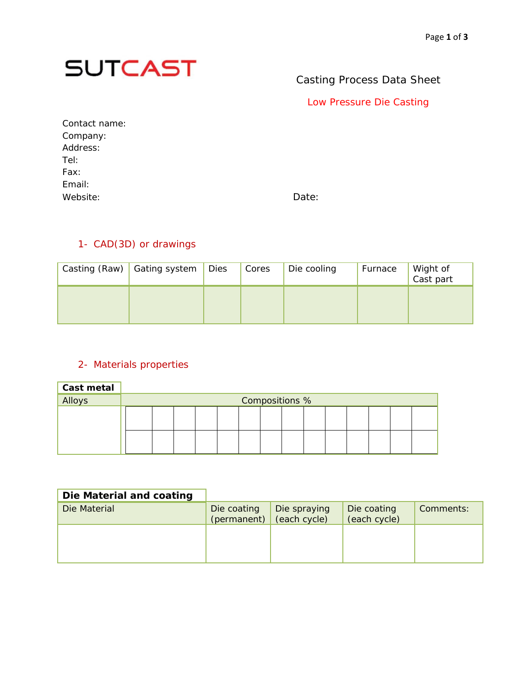

## Casting Process Data Sheet

Low Pressure Die Casting

Contact name: Company: Address: Tel: Fax: Email: Website: Date:

### 1- CAD(3D) or drawings

| Casting (Raw) Gating system | Dies | Cores | Die cooling | Furnace | Wight of<br>Cast part |
|-----------------------------|------|-------|-------------|---------|-----------------------|
|                             |      |       |             |         |                       |

#### 2- Materials properties

| <b>Cast metal</b> |                |  |  |  |  |  |  |  |  |  |
|-------------------|----------------|--|--|--|--|--|--|--|--|--|
| Alloys            | Compositions % |  |  |  |  |  |  |  |  |  |
|                   |                |  |  |  |  |  |  |  |  |  |
|                   |                |  |  |  |  |  |  |  |  |  |
|                   |                |  |  |  |  |  |  |  |  |  |
|                   |                |  |  |  |  |  |  |  |  |  |

| Die Material and coating |                            |                              |                             |           |
|--------------------------|----------------------------|------------------------------|-----------------------------|-----------|
| Die Material             | Die coating<br>(permanent) | Die spraying<br>(each cycle) | Die coating<br>(each cycle) | Comments: |
|                          |                            |                              |                             |           |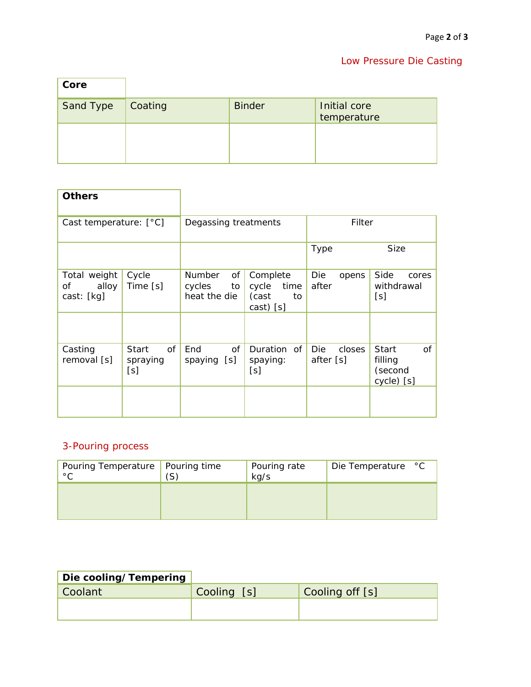## Low Pressure Die Casting

| Core      |         |               |                             |
|-----------|---------|---------------|-----------------------------|
| Sand Type | Coating | <b>Binder</b> | Initial core<br>temperature |
|           |         |               |                             |
|           |         |               |                             |

| <b>Others</b>                             |                                       |                                                     |                                                       |                                   |                                                        |  |
|-------------------------------------------|---------------------------------------|-----------------------------------------------------|-------------------------------------------------------|-----------------------------------|--------------------------------------------------------|--|
| Cast temperature: $[°C]$                  |                                       | Degassing treatments                                |                                                       | Filter                            |                                                        |  |
|                                           |                                       |                                                     |                                                       | Type                              | Size                                                   |  |
| Total weight<br>alloy<br>Οf<br>cast: [kg] | Cycle<br>Time [s]                     | <b>Number</b><br>οf<br>cycles<br>to<br>heat the die | Complete<br>cycle<br>time<br>(cast<br>to<br>cast) [s] | Die<br>opens<br>after             | Side<br>cores<br>withdrawal<br>[s]                     |  |
| Casting<br>removal [s]                    | of<br><b>Start</b><br>spraying<br>[s] | End<br>of<br>spaying [s]                            | Duration of<br>spaying:<br>[s]                        | <b>Die</b><br>closes<br>after [s] | of<br><b>Start</b><br>filling<br>(second<br>cycle) [s] |  |
|                                           |                                       |                                                     |                                                       |                                   |                                                        |  |

# 3-Pouring process

| Pouring Temperature   Pouring time<br>$\circ$ $\cap$ | (S) | Pouring rate<br>kg/s | Die Temperature °C |
|------------------------------------------------------|-----|----------------------|--------------------|
|                                                      |     |                      |                    |

| <b>Die cooling/Tempering</b> |             |                 |
|------------------------------|-------------|-----------------|
| Coolant                      | Cooling [s] | Cooling off [s] |
|                              |             |                 |
|                              |             |                 |